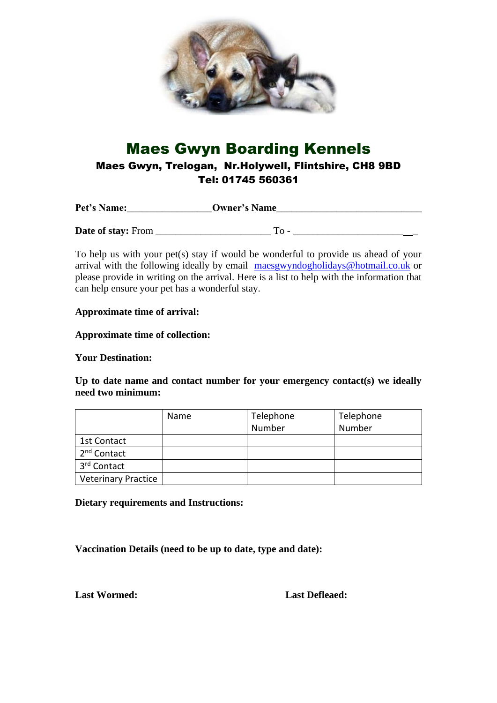

## Maes Gwyn Boarding Kennels

Maes Gwyn, Trelogan, Nr.Holywell, Flintshire, CH8 9BD Tel: 01745 560361

| Pet's Name:               | <b>Owner's Name</b> |  |
|---------------------------|---------------------|--|
|                           |                     |  |
| <b>Date of stay:</b> From | $To -$              |  |

To help us with your pet(s) stay if would be wonderful to provide us ahead of your arrival with the following ideally by email [maesgwyndogholidays@hotmail.co.uk](mailto:maesgwyndogholidays@hotmail.co.uk) or please provide in writing on the arrival. Here is a list to help with the information that can help ensure your pet has a wonderful stay.

## **Approximate time of arrival:**

**Approximate time of collection:**

**Your Destination:**

**Up to date name and contact number for your emergency contact(s) we ideally need two minimum:**

|                            | Name | Telephone | Telephone |
|----------------------------|------|-----------|-----------|
|                            |      | Number    | Number    |
| 1st Contact                |      |           |           |
| 2 <sup>nd</sup> Contact    |      |           |           |
| 3 <sup>rd</sup> Contact    |      |           |           |
| <b>Veterinary Practice</b> |      |           |           |

**Dietary requirements and Instructions:**

**Vaccination Details (need to be up to date, type and date):**

**Last Wormed: Last Defleaed:**